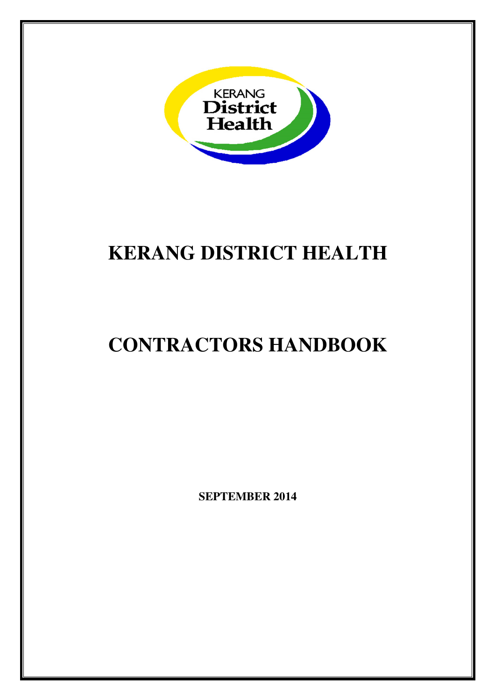

# **KERANG DISTRICT HEALTH**

# **CONTRACTORS HANDBOOK**

**SEPTEMBER 2014**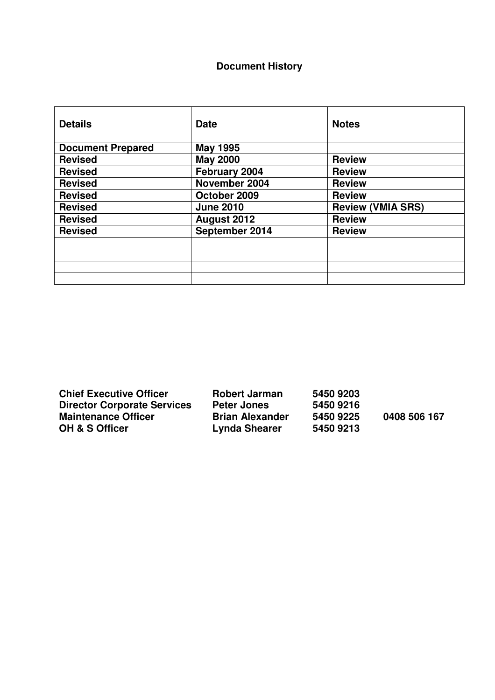### **Document History**

| <b>Details</b>           | <b>Date</b>      | <b>Notes</b>             |
|--------------------------|------------------|--------------------------|
| <b>Document Prepared</b> | <b>May 1995</b>  |                          |
| <b>Revised</b>           | <b>May 2000</b>  | <b>Review</b>            |
| <b>Revised</b>           | February 2004    | <b>Review</b>            |
| <b>Revised</b>           | November 2004    | <b>Review</b>            |
| <b>Revised</b>           | October 2009     | <b>Review</b>            |
| <b>Revised</b>           | <b>June 2010</b> | <b>Review (VMIA SRS)</b> |
| <b>Revised</b>           | August 2012      | <b>Review</b>            |
| <b>Revised</b>           | September 2014   | <b>Review</b>            |
|                          |                  |                          |
|                          |                  |                          |
|                          |                  |                          |
|                          |                  |                          |

**Chief Executive Officer** Robert Jarman 5450 9203<br>Director Corporate Services Peter Jones 5450 9216 **Director Corporate Services Peter Jones 5450 9216<br>Maintenance Officer Brian Alexander 5450 9225** Maintenance Officer **Brian Alexander** 5450 9225 0408 506 167<br>
OH & S Officer **Brian Alexander** 5450 9213

**OH & S Officer Lynda Shearer 5450 9213**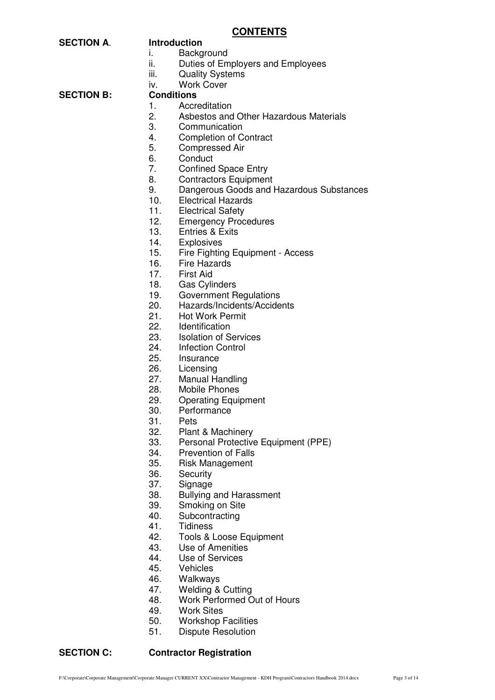#### **CONTENTS**

| <b>SECTION A.</b> | <b>Introduction</b> |
|-------------------|---------------------|
|                   |                     |

- i. Background
- ii. Duties of Employers and Employees
- iii. Quality Systems
- iv. Work Cover

**SECTION B:** 

- 1. Accreditation
- 2. Asbestos and Other Hazardous Materials
- 3. Communication
- 4. Completion of Contract
- 5. Compressed Air
- 6. Conduct
- 7. Confined Space Entry
- 8. Contractors Equipment
- 9. Dangerous Goods and Hazardous Substances
- 10. Electrical Hazards
- 11. Electrical Safety
- 12. Emergency Procedures
- 13. Entries & Exits
- 14. Explosives
- 15. Fire Fighting Equipment Access
- 16. Fire Hazards
- 17. First Aid
- 18. Gas Cylinders
- 19. Government Regulations
- 20. Hazards/Incidents/Accidents
- 21. Hot Work Permit
- 22. Identification
- 23. Isolation of Services
- 24. Infection Control
- 25. Insurance
- 26. Licensing
- 27. Manual Handling
- 28. Mobile Phones
- 29. Operating Equipment
- 30. Performance
- 31. Pets
- 32. Plant & Machinery<br>33. Personal Protective
- Personal Protective Equipment (PPE)
- 34. Prevention of Falls
- 35. Risk Management
- 36. Security
- 37. Signage
- 38. Bullying and Harassment<br>39. Smoking on Site
- Smoking on Site
- 40. Subcontracting
- 41. Tidiness
- 42. Tools & Loose Equipment
- 43. Use of Amenities
- 44. Use of Services<br>45. Vehicles
- **Vehicles**
- 
- 46. Walkways<br>47. Welding & Welding & Cutting
- 48. Work Performed Out of Hours
- 49. Work Sites
- 50. Workshop Facilities
- 51. Dispute Resolution

#### **SECTION C: Contractor Registration**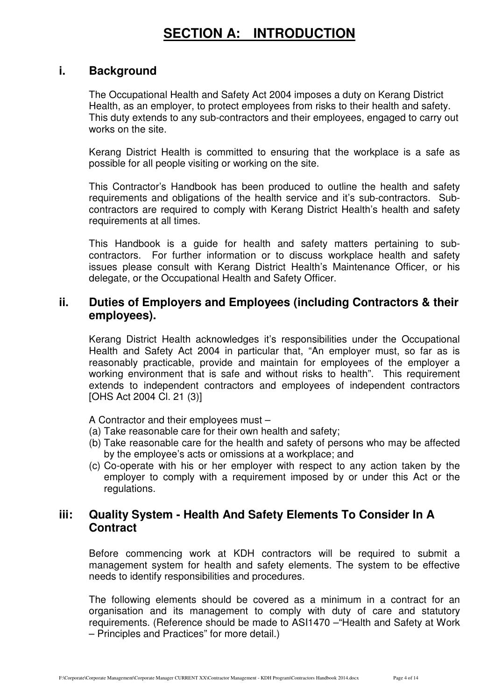# **SECTION A: INTRODUCTION**

### **i. Background**

The Occupational Health and Safety Act 2004 imposes a duty on Kerang District Health, as an employer, to protect employees from risks to their health and safety. This duty extends to any sub-contractors and their employees, engaged to carry out works on the site.

Kerang District Health is committed to ensuring that the workplace is a safe as possible for all people visiting or working on the site.

This Contractor's Handbook has been produced to outline the health and safety requirements and obligations of the health service and it's sub-contractors. Subcontractors are required to comply with Kerang District Health's health and safety requirements at all times.

This Handbook is a guide for health and safety matters pertaining to subcontractors. For further information or to discuss workplace health and safety issues please consult with Kerang District Health's Maintenance Officer, or his delegate, or the Occupational Health and Safety Officer.

# **ii. Duties of Employers and Employees (including Contractors & their employees).**

Kerang District Health acknowledges it's responsibilities under the Occupational Health and Safety Act 2004 in particular that, "An employer must, so far as is reasonably practicable, provide and maintain for employees of the employer a working environment that is safe and without risks to health". This requirement extends to independent contractors and employees of independent contractors [OHS Act 2004 Cl. 21 (3)]

A Contractor and their employees must –

- (a) Take reasonable care for their own health and safety;
- (b) Take reasonable care for the health and safety of persons who may be affected by the employee's acts or omissions at a workplace; and
- (c) Co-operate with his or her employer with respect to any action taken by the employer to comply with a requirement imposed by or under this Act or the regulations.

## **iii: Quality System - Health And Safety Elements To Consider In A Contract**

Before commencing work at KDH contractors will be required to submit a management system for health and safety elements. The system to be effective needs to identify responsibilities and procedures.

The following elements should be covered as a minimum in a contract for an organisation and its management to comply with duty of care and statutory requirements. (Reference should be made to ASI1470 –"Health and Safety at Work – Principles and Practices" for more detail.)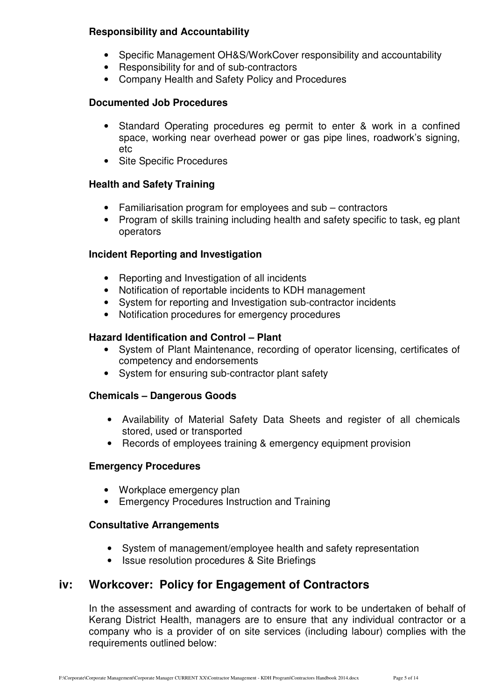#### **Responsibility and Accountability**

- Specific Management OH&S/WorkCover responsibility and accountability
- Responsibility for and of sub-contractors
- Company Health and Safety Policy and Procedures

#### **Documented Job Procedures**

- Standard Operating procedures eg permit to enter & work in a confined space, working near overhead power or gas pipe lines, roadwork's signing, etc
- Site Specific Procedures

#### **Health and Safety Training**

- Familiarisation program for employees and sub contractors
- Program of skills training including health and safety specific to task, eg plant operators

#### **Incident Reporting and Investigation**

- Reporting and Investigation of all incidents
- Notification of reportable incidents to KDH management
- System for reporting and Investigation sub-contractor incidents
- Notification procedures for emergency procedures

#### **Hazard Identification and Control – Plant**

- System of Plant Maintenance, recording of operator licensing, certificates of competency and endorsements
- System for ensuring sub-contractor plant safety

#### **Chemicals – Dangerous Goods**

- Availability of Material Safety Data Sheets and register of all chemicals stored, used or transported
- Records of employees training & emergency equipment provision

#### **Emergency Procedures**

- Workplace emergency plan
- Emergency Procedures Instruction and Training

#### **Consultative Arrangements**

- System of management/employee health and safety representation
- Issue resolution procedures & Site Briefings

## **iv: Workcover: Policy for Engagement of Contractors**

In the assessment and awarding of contracts for work to be undertaken of behalf of Kerang District Health, managers are to ensure that any individual contractor or a company who is a provider of on site services (including labour) complies with the requirements outlined below: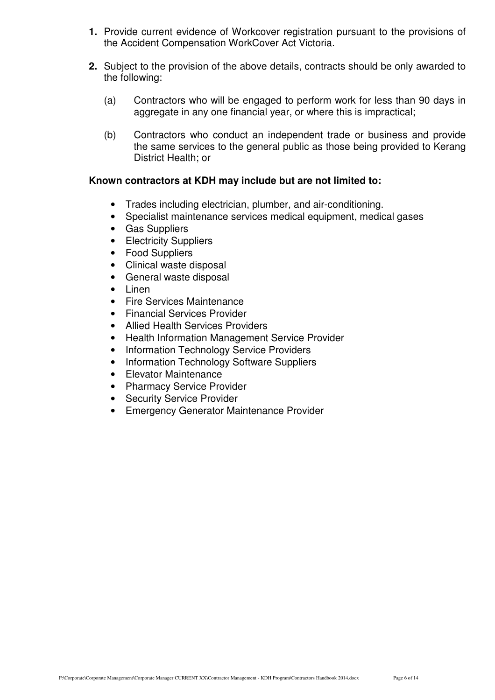- **1.** Provide current evidence of Workcover registration pursuant to the provisions of the Accident Compensation WorkCover Act Victoria.
- **2.** Subject to the provision of the above details, contracts should be only awarded to the following:
	- (a) Contractors who will be engaged to perform work for less than 90 days in aggregate in any one financial year, or where this is impractical;
	- (b) Contractors who conduct an independent trade or business and provide the same services to the general public as those being provided to Kerang District Health; or

#### **Known contractors at KDH may include but are not limited to:**

- Trades including electrician, plumber, and air-conditioning.
- Specialist maintenance services medical equipment, medical gases
- Gas Suppliers
- Electricity Suppliers
- Food Suppliers
- Clinical waste disposal
- General waste disposal
- Linen
- Fire Services Maintenance
- Financial Services Provider
- Allied Health Services Providers
- Health Information Management Service Provider
- Information Technology Service Providers
- Information Technology Software Suppliers
- Elevator Maintenance
- Pharmacy Service Provider
- Security Service Provider
- Emergency Generator Maintenance Provider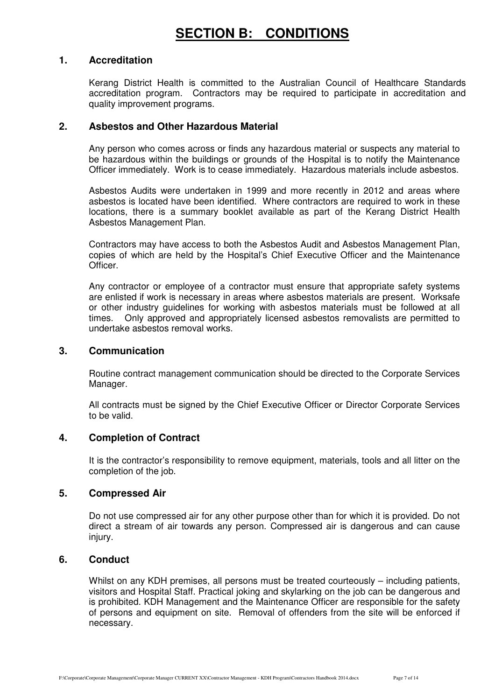#### **1. Accreditation**

Kerang District Health is committed to the Australian Council of Healthcare Standards accreditation program. Contractors may be required to participate in accreditation and quality improvement programs.

#### **2. Asbestos and Other Hazardous Material**

Any person who comes across or finds any hazardous material or suspects any material to be hazardous within the buildings or grounds of the Hospital is to notify the Maintenance Officer immediately. Work is to cease immediately. Hazardous materials include asbestos.

Asbestos Audits were undertaken in 1999 and more recently in 2012 and areas where asbestos is located have been identified. Where contractors are required to work in these locations, there is a summary booklet available as part of the Kerang District Health Asbestos Management Plan.

Contractors may have access to both the Asbestos Audit and Asbestos Management Plan, copies of which are held by the Hospital's Chief Executive Officer and the Maintenance Officer.

Any contractor or employee of a contractor must ensure that appropriate safety systems are enlisted if work is necessary in areas where asbestos materials are present. Worksafe or other industry guidelines for working with asbestos materials must be followed at all times. Only approved and appropriately licensed asbestos removalists are permitted to undertake asbestos removal works.

#### **3. Communication**

Routine contract management communication should be directed to the Corporate Services Manager.

All contracts must be signed by the Chief Executive Officer or Director Corporate Services to be valid.

#### **4. Completion of Contract**

It is the contractor's responsibility to remove equipment, materials, tools and all litter on the completion of the job.

#### **5. Compressed Air**

Do not use compressed air for any other purpose other than for which it is provided. Do not direct a stream of air towards any person. Compressed air is dangerous and can cause injury.

#### **6. Conduct**

Whilst on any KDH premises, all persons must be treated courteously – including patients, visitors and Hospital Staff. Practical joking and skylarking on the job can be dangerous and is prohibited. KDH Management and the Maintenance Officer are responsible for the safety of persons and equipment on site. Removal of offenders from the site will be enforced if necessary.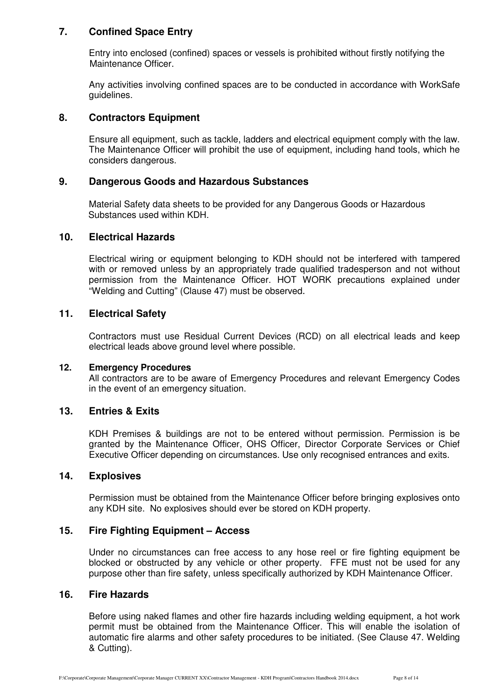#### **7. Confined Space Entry**

Entry into enclosed (confined) spaces or vessels is prohibited without firstly notifying the Maintenance Officer.

Any activities involving confined spaces are to be conducted in accordance with WorkSafe guidelines.

#### **8. Contractors Equipment**

Ensure all equipment, such as tackle, ladders and electrical equipment comply with the law. The Maintenance Officer will prohibit the use of equipment, including hand tools, which he considers dangerous.

#### **9. Dangerous Goods and Hazardous Substances**

Material Safety data sheets to be provided for any Dangerous Goods or Hazardous Substances used within KDH.

#### **10. Electrical Hazards**

Electrical wiring or equipment belonging to KDH should not be interfered with tampered with or removed unless by an appropriately trade qualified tradesperson and not without permission from the Maintenance Officer. HOT WORK precautions explained under "Welding and Cutting" (Clause 47) must be observed.

#### **11. Electrical Safety**

Contractors must use Residual Current Devices (RCD) on all electrical leads and keep electrical leads above ground level where possible.

#### **12. Emergency Procedures**

All contractors are to be aware of Emergency Procedures and relevant Emergency Codes in the event of an emergency situation.

#### **13. Entries & Exits**

KDH Premises & buildings are not to be entered without permission. Permission is be granted by the Maintenance Officer, OHS Officer, Director Corporate Services or Chief Executive Officer depending on circumstances. Use only recognised entrances and exits.

#### **14. Explosives**

Permission must be obtained from the Maintenance Officer before bringing explosives onto any KDH site. No explosives should ever be stored on KDH property.

#### **15. Fire Fighting Equipment – Access**

Under no circumstances can free access to any hose reel or fire fighting equipment be blocked or obstructed by any vehicle or other property. FFE must not be used for any purpose other than fire safety, unless specifically authorized by KDH Maintenance Officer.

#### **16. Fire Hazards**

Before using naked flames and other fire hazards including welding equipment, a hot work permit must be obtained from the Maintenance Officer. This will enable the isolation of automatic fire alarms and other safety procedures to be initiated. (See Clause 47. Welding & Cutting).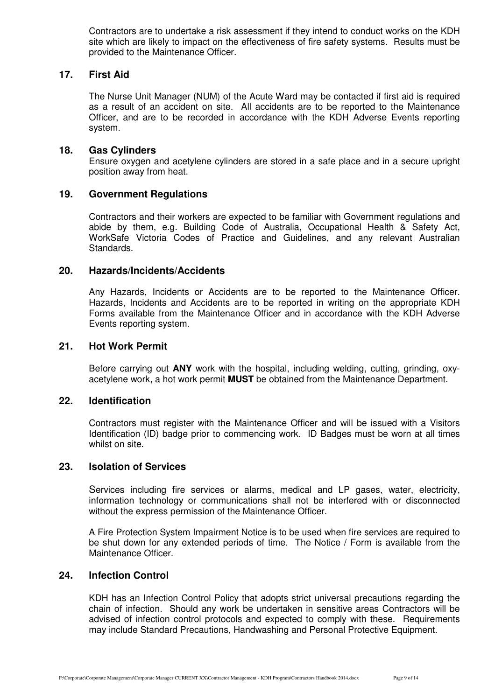Contractors are to undertake a risk assessment if they intend to conduct works on the KDH site which are likely to impact on the effectiveness of fire safety systems. Results must be provided to the Maintenance Officer.

#### **17. First Aid**

The Nurse Unit Manager (NUM) of the Acute Ward may be contacted if first aid is required as a result of an accident on site. All accidents are to be reported to the Maintenance Officer, and are to be recorded in accordance with the KDH Adverse Events reporting system.

#### **18. Gas Cylinders**

Ensure oxygen and acetylene cylinders are stored in a safe place and in a secure upright position away from heat.

#### **19. Government Regulations**

Contractors and their workers are expected to be familiar with Government regulations and abide by them, e.g. Building Code of Australia, Occupational Health & Safety Act, WorkSafe Victoria Codes of Practice and Guidelines, and any relevant Australian Standards.

#### **20. Hazards/Incidents/Accidents**

Any Hazards, Incidents or Accidents are to be reported to the Maintenance Officer. Hazards, Incidents and Accidents are to be reported in writing on the appropriate KDH Forms available from the Maintenance Officer and in accordance with the KDH Adverse Events reporting system.

#### **21. Hot Work Permit**

Before carrying out **ANY** work with the hospital, including welding, cutting, grinding, oxyacetylene work, a hot work permit **MUST** be obtained from the Maintenance Department.

#### **22. Identification**

Contractors must register with the Maintenance Officer and will be issued with a Visitors Identification (ID) badge prior to commencing work. ID Badges must be worn at all times whilst on site.

#### **23. Isolation of Services**

 Services including fire services or alarms, medical and LP gases, water, electricity, information technology or communications shall not be interfered with or disconnected without the express permission of the Maintenance Officer.

 A Fire Protection System Impairment Notice is to be used when fire services are required to be shut down for any extended periods of time. The Notice / Form is available from the Maintenance Officer.

#### **24. Infection Control**

KDH has an Infection Control Policy that adopts strict universal precautions regarding the chain of infection. Should any work be undertaken in sensitive areas Contractors will be advised of infection control protocols and expected to comply with these. Requirements may include Standard Precautions, Handwashing and Personal Protective Equipment.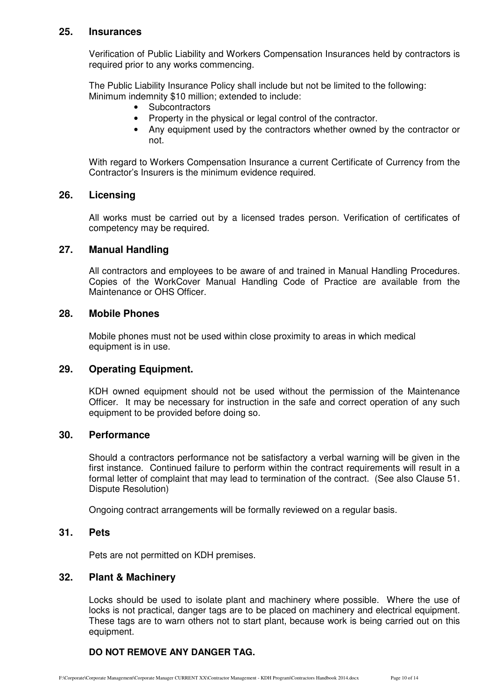#### **25. Insurances**

Verification of Public Liability and Workers Compensation Insurances held by contractors is required prior to any works commencing.

The Public Liability Insurance Policy shall include but not be limited to the following: Minimum indemnity \$10 million; extended to include:

- Subcontractors
- Property in the physical or legal control of the contractor.
- Any equipment used by the contractors whether owned by the contractor or not.

 With regard to Workers Compensation Insurance a current Certificate of Currency from the Contractor's Insurers is the minimum evidence required.

#### **26. Licensing**

All works must be carried out by a licensed trades person. Verification of certificates of competency may be required.

#### **27. Manual Handling**

All contractors and employees to be aware of and trained in Manual Handling Procedures. Copies of the WorkCover Manual Handling Code of Practice are available from the Maintenance or OHS Officer.

#### **28. Mobile Phones**

Mobile phones must not be used within close proximity to areas in which medical equipment is in use.

#### **29. Operating Equipment.**

KDH owned equipment should not be used without the permission of the Maintenance Officer. It may be necessary for instruction in the safe and correct operation of any such equipment to be provided before doing so.

#### **30. Performance**

Should a contractors performance not be satisfactory a verbal warning will be given in the first instance. Continued failure to perform within the contract requirements will result in a formal letter of complaint that may lead to termination of the contract. (See also Clause 51. Dispute Resolution)

Ongoing contract arrangements will be formally reviewed on a regular basis.

#### **31. Pets**

Pets are not permitted on KDH premises.

#### **32. Plant & Machinery**

Locks should be used to isolate plant and machinery where possible. Where the use of locks is not practical, danger tags are to be placed on machinery and electrical equipment. These tags are to warn others not to start plant, because work is being carried out on this equipment.

#### **DO NOT REMOVE ANY DANGER TAG.**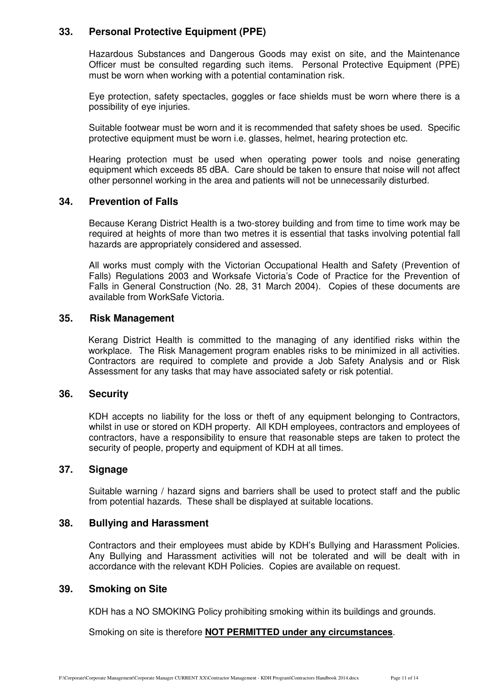#### **33. Personal Protective Equipment (PPE)**

Hazardous Substances and Dangerous Goods may exist on site, and the Maintenance Officer must be consulted regarding such items. Personal Protective Equipment (PPE) must be worn when working with a potential contamination risk.

Eye protection, safety spectacles, goggles or face shields must be worn where there is a possibility of eye injuries.

Suitable footwear must be worn and it is recommended that safety shoes be used. Specific protective equipment must be worn i.e. glasses, helmet, hearing protection etc.

Hearing protection must be used when operating power tools and noise generating equipment which exceeds 85 dBA. Care should be taken to ensure that noise will not affect other personnel working in the area and patients will not be unnecessarily disturbed.

#### **34. Prevention of Falls**

Because Kerang District Health is a two-storey building and from time to time work may be required at heights of more than two metres it is essential that tasks involving potential fall hazards are appropriately considered and assessed.

All works must comply with the Victorian Occupational Health and Safety (Prevention of Falls) Regulations 2003 and Worksafe Victoria's Code of Practice for the Prevention of Falls in General Construction (No. 28, 31 March 2004). Copies of these documents are available from WorkSafe Victoria.

#### **35. Risk Management**

Kerang District Health is committed to the managing of any identified risks within the workplace. The Risk Management program enables risks to be minimized in all activities. Contractors are required to complete and provide a Job Safety Analysis and or Risk Assessment for any tasks that may have associated safety or risk potential.

#### **36. Security**

KDH accepts no liability for the loss or theft of any equipment belonging to Contractors, whilst in use or stored on KDH property. All KDH employees, contractors and employees of contractors, have a responsibility to ensure that reasonable steps are taken to protect the security of people, property and equipment of KDH at all times.

#### **37. Signage**

Suitable warning / hazard signs and barriers shall be used to protect staff and the public from potential hazards. These shall be displayed at suitable locations.

#### **38. Bullying and Harassment**

Contractors and their employees must abide by KDH's Bullying and Harassment Policies. Any Bullying and Harassment activities will not be tolerated and will be dealt with in accordance with the relevant KDH Policies. Copies are available on request.

#### **39. Smoking on Site**

KDH has a NO SMOKING Policy prohibiting smoking within its buildings and grounds.

Smoking on site is therefore **NOT PERMITTED under any circumstances**.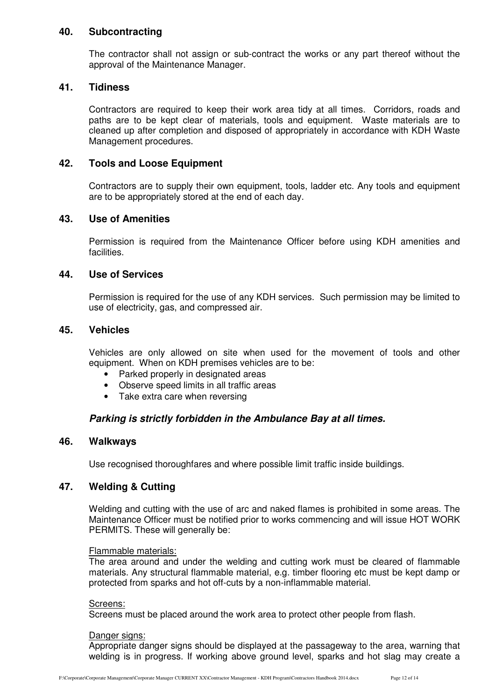#### **40. Subcontracting**

The contractor shall not assign or sub-contract the works or any part thereof without the approval of the Maintenance Manager.

#### **41. Tidiness**

Contractors are required to keep their work area tidy at all times. Corridors, roads and paths are to be kept clear of materials, tools and equipment. Waste materials are to cleaned up after completion and disposed of appropriately in accordance with KDH Waste Management procedures.

#### **42. Tools and Loose Equipment**

Contractors are to supply their own equipment, tools, ladder etc. Any tools and equipment are to be appropriately stored at the end of each day.

#### **43. Use of Amenities**

Permission is required from the Maintenance Officer before using KDH amenities and facilities.

#### **44. Use of Services**

Permission is required for the use of any KDH services. Such permission may be limited to use of electricity, gas, and compressed air.

#### **45. Vehicles**

Vehicles are only allowed on site when used for the movement of tools and other equipment. When on KDH premises vehicles are to be:

- Parked properly in designated areas
- Observe speed limits in all traffic areas
- Take extra care when reversing

#### **Parking is strictly forbidden in the Ambulance Bay at all times.**

#### **46. Walkways**

Use recognised thoroughfares and where possible limit traffic inside buildings.

#### **47. Welding & Cutting**

Welding and cutting with the use of arc and naked flames is prohibited in some areas. The Maintenance Officer must be notified prior to works commencing and will issue HOT WORK PERMITS. These will generally be:

#### Flammable materials:

The area around and under the welding and cutting work must be cleared of flammable materials. Any structural flammable material, e.g. timber flooring etc must be kept damp or protected from sparks and hot off-cuts by a non-inflammable material.

#### Screens:

Screens must be placed around the work area to protect other people from flash.

#### Danger signs:

Appropriate danger signs should be displayed at the passageway to the area, warning that welding is in progress. If working above ground level, sparks and hot slag may create a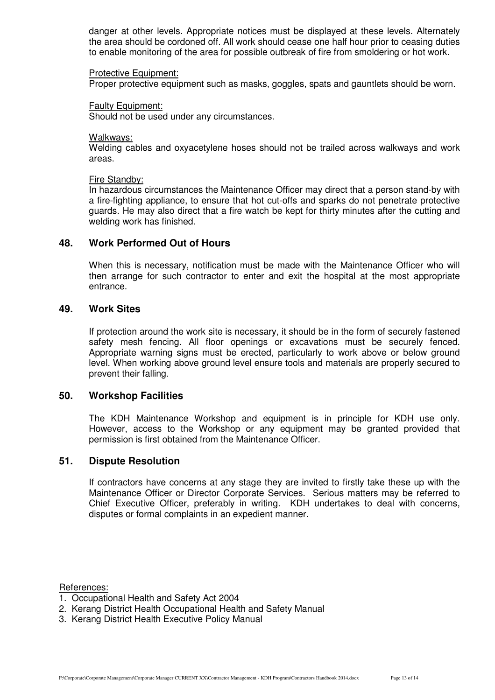danger at other levels. Appropriate notices must be displayed at these levels. Alternately the area should be cordoned off. All work should cease one half hour prior to ceasing duties to enable monitoring of the area for possible outbreak of fire from smoldering or hot work.

#### Protective Equipment:

Proper protective equipment such as masks, goggles, spats and gauntlets should be worn.

#### Faulty Equipment:

Should not be used under any circumstances.

#### Walkways:

Welding cables and oxyacetylene hoses should not be trailed across walkways and work areas.

#### Fire Standby:

In hazardous circumstances the Maintenance Officer may direct that a person stand-by with a fire-fighting appliance, to ensure that hot cut-offs and sparks do not penetrate protective guards. He may also direct that a fire watch be kept for thirty minutes after the cutting and welding work has finished.

#### **48. Work Performed Out of Hours**

When this is necessary, notification must be made with the Maintenance Officer who will then arrange for such contractor to enter and exit the hospital at the most appropriate entrance.

#### **49. Work Sites**

If protection around the work site is necessary, it should be in the form of securely fastened safety mesh fencing. All floor openings or excavations must be securely fenced. Appropriate warning signs must be erected, particularly to work above or below ground level. When working above ground level ensure tools and materials are properly secured to prevent their falling.

#### **50. Workshop Facilities**

The KDH Maintenance Workshop and equipment is in principle for KDH use only. However, access to the Workshop or any equipment may be granted provided that permission is first obtained from the Maintenance Officer.

#### **51. Dispute Resolution**

If contractors have concerns at any stage they are invited to firstly take these up with the Maintenance Officer or Director Corporate Services. Serious matters may be referred to Chief Executive Officer, preferably in writing. KDH undertakes to deal with concerns, disputes or formal complaints in an expedient manner.

References:

- 1. Occupational Health and Safety Act 2004
- 2. Kerang District Health Occupational Health and Safety Manual
- 3. Kerang District Health Executive Policy Manual